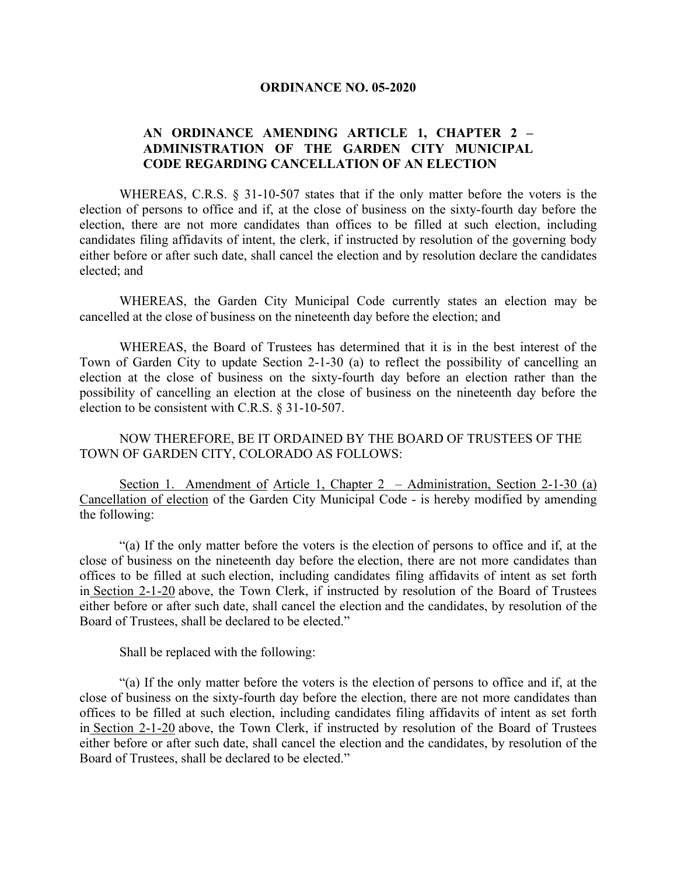## **ORDINANCE NO. 05-2020**

## **AN ORDINANCE AMENDING ARTICLE 1, CHAPTER 2 – ADMINISTRATION OF THE GARDEN CITY MUNICIPAL CODE REGARDING CANCELLATION OF AN ELECTION**

WHEREAS, C.R.S. § 31-10-507 states that if the only matter before the voters is the election of persons to office and if, at the close of business on the sixty-fourth day before the election, there are not more candidates than offices to be filled at such election, including candidates filing affidavits of intent, the clerk, if instructed by resolution of the governing body either before or after such date, shall cancel the election and by resolution declare the candidates elected; and

WHEREAS, the Garden City Municipal Code currently states an election may be cancelled at the close of business on the nineteenth day before the election; and

WHEREAS, the Board of Trustees has determined that it is in the best interest of the Town of Garden City to update Section 2-1-30 (a) to reflect the possibility of cancelling an election at the close of business on the sixty-fourth day before an election rather than the possibility of cancelling an election at the close of business on the nineteenth day before the election to be consistent with C.R.S. § 31-10-507.

NOW THEREFORE, BE IT ORDAINED BY THE BOARD OF TRUSTEES OF THE TOWN OF GARDEN CITY, COLORADO AS FOLLOWS:

Section 1. Amendment of Article 1, Chapter 2 – Administration, Section 2-1-30 (a) Cancellation of election of the Garden City Municipal Code - is hereby modified by amending the following:

"(a) If the only matter before the voters is the election of persons to office and if, at the close of business on the nineteenth day before the election, there are not more candidates than offices to be filled at such election, including candidates filing affidavits of intent as set forth in [Section 2-1-20](https://library.municode.com/co/garden_city/codes/municipal_code?nodeId=CH2AD_ART1EL_S2-1-20WRCAAF) above, the Town Clerk, if instructed by resolution of the Board of Trustees either before or after such date, shall cancel the election and the candidates, by resolution of the Board of Trustees, shall be declared to be elected."

Shall be replaced with the following:

"(a) If the only matter before the voters is the election of persons to office and if, at the close of business on the sixty-fourth day before the election, there are not more candidates than offices to be filled at such election, including candidates filing affidavits of intent as set forth in [Section 2-1-20](https://library.municode.com/co/garden_city/codes/municipal_code?nodeId=CH2AD_ART1EL_S2-1-20WRCAAF) above, the Town Clerk, if instructed by resolution of the Board of Trustees either before or after such date, shall cancel the election and the candidates, by resolution of the Board of Trustees, shall be declared to be elected."